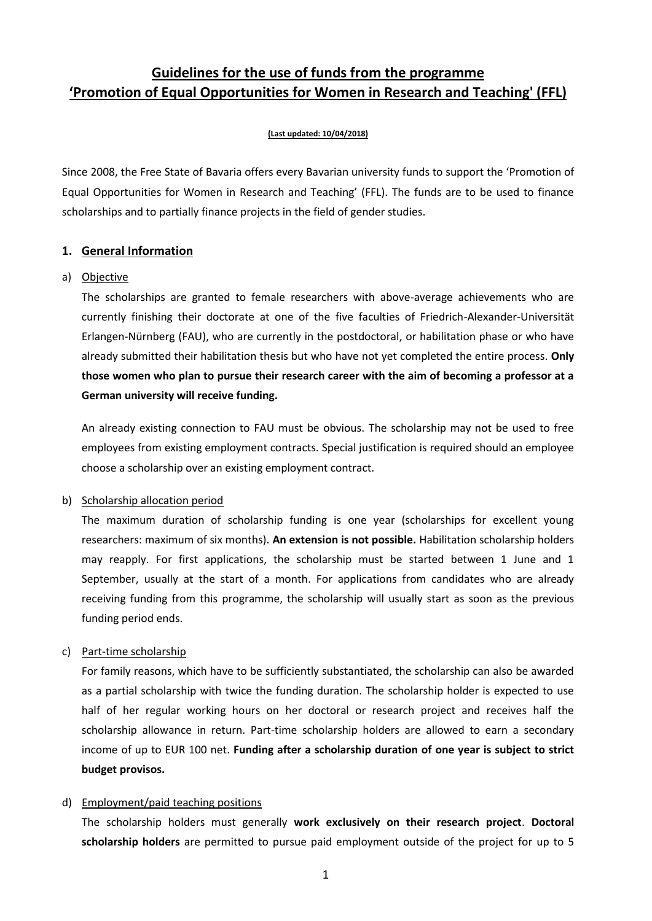# **Guidelines for the use of funds from the programme 'Promotion of Equal Opportunities for Women in Research and Teaching' (FFL)**

#### **(Last updated: 10/04/2018)**

Since 2008, the Free State of Bavaria offers every Bavarian university funds to support the 'Promotion of Equal Opportunities for Women in Research and Teaching' (FFL). The funds are to be used to finance scholarships and to partially finance projects in the field of gender studies.

### **1. General Information**

#### a) Objective

The scholarships are granted to female researchers with above-average achievements who are currently finishing their doctorate at one of the five faculties of Friedrich-Alexander-Universität Erlangen-Nürnberg (FAU), who are currently in the postdoctoral, or habilitation phase or who have already submitted their habilitation thesis but who have not yet completed the entire process. **Only those women who plan to pursue their research career with the aim of becoming a professor at a German university will receive funding.**

An already existing connection to FAU must be obvious. The scholarship may not be used to free employees from existing employment contracts. Special justification is required should an employee choose a scholarship over an existing employment contract.

# b) Scholarship allocation period

The maximum duration of scholarship funding is one year (scholarships for excellent young researchers: maximum of six months). **An extension is not possible.** Habilitation scholarship holders may reapply. For first applications, the scholarship must be started between 1 June and 1 September, usually at the start of a month. For applications from candidates who are already receiving funding from this programme, the scholarship will usually start as soon as the previous funding period ends.

# c) Part-time scholarship

For family reasons, which have to be sufficiently substantiated, the scholarship can also be awarded as a partial scholarship with twice the funding duration. The scholarship holder is expected to use half of her regular working hours on her doctoral or research project and receives half the scholarship allowance in return. Part-time scholarship holders are allowed to earn a secondary income of up to EUR 100 net. **Funding after a scholarship duration of one year is subject to strict budget provisos.**

# d) Employment/paid teaching positions

The scholarship holders must generally **work exclusively on their research project**. **Doctoral scholarship holders** are permitted to pursue paid employment outside of the project for up to 5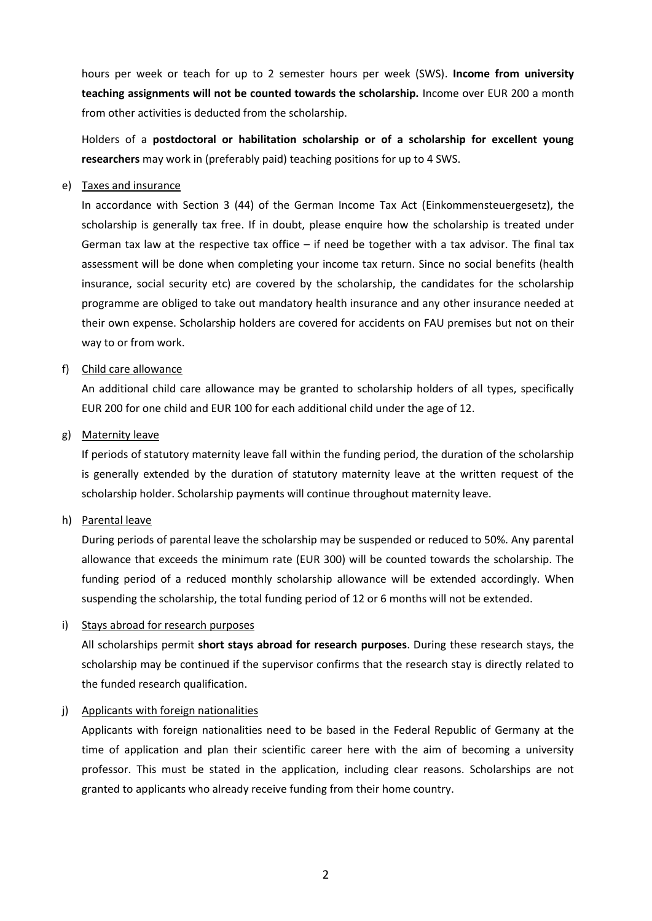hours per week or teach for up to 2 semester hours per week (SWS). **Income from university teaching assignments will not be counted towards the scholarship.** Income over EUR 200 a month from other activities is deducted from the scholarship.

Holders of a **postdoctoral or habilitation scholarship or of a scholarship for excellent young researchers** may work in (preferably paid) teaching positions for up to 4 SWS.

#### e) Taxes and insurance

In accordance with Section 3 (44) of the German Income Tax Act (Einkommensteuergesetz), the scholarship is generally tax free. If in doubt, please enquire how the scholarship is treated under German tax law at the respective tax office – if need be together with a tax advisor. The final tax assessment will be done when completing your income tax return. Since no social benefits (health insurance, social security etc) are covered by the scholarship, the candidates for the scholarship programme are obliged to take out mandatory health insurance and any other insurance needed at their own expense. Scholarship holders are covered for accidents on FAU premises but not on their way to or from work.

### f) Child care allowance

An additional child care allowance may be granted to scholarship holders of all types, specifically EUR 200 for one child and EUR 100 for each additional child under the age of 12.

### g) Maternity leave

If periods of statutory maternity leave fall within the funding period, the duration of the scholarship is generally extended by the duration of statutory maternity leave at the written request of the scholarship holder. Scholarship payments will continue throughout maternity leave.

#### h) Parental leave

During periods of parental leave the scholarship may be suspended or reduced to 50%. Any parental allowance that exceeds the minimum rate (EUR 300) will be counted towards the scholarship. The funding period of a reduced monthly scholarship allowance will be extended accordingly. When suspending the scholarship, the total funding period of 12 or 6 months will not be extended.

# i) Stays abroad for research purposes

All scholarships permit **short stays abroad for research purposes**. During these research stays, the scholarship may be continued if the supervisor confirms that the research stay is directly related to the funded research qualification.

#### j) Applicants with foreign nationalities

Applicants with foreign nationalities need to be based in the Federal Republic of Germany at the time of application and plan their scientific career here with the aim of becoming a university professor. This must be stated in the application, including clear reasons. Scholarships are not granted to applicants who already receive funding from their home country.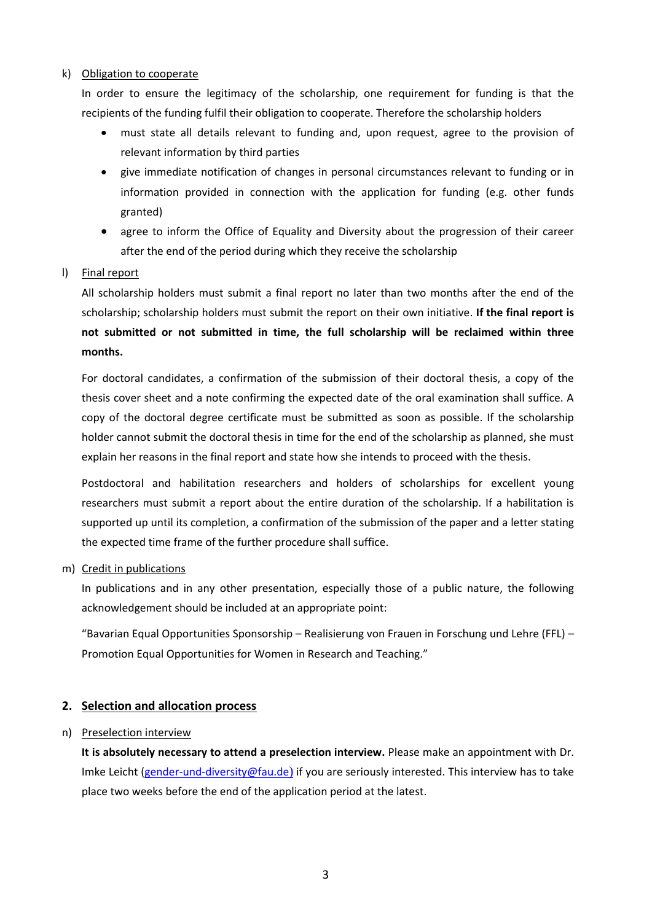### k) Obligation to cooperate

In order to ensure the legitimacy of the scholarship, one requirement for funding is that the recipients of the funding fulfil their obligation to cooperate. Therefore the scholarship holders

- must state all details relevant to funding and, upon request, agree to the provision of relevant information by third parties
- give immediate notification of changes in personal circumstances relevant to funding or in information provided in connection with the application for funding (e.g. other funds granted)
- agree to inform the Office of Equality and Diversity about the progression of their career after the end of the period during which they receive the scholarship

# l) Final report

All scholarship holders must submit a final report no later than two months after the end of the scholarship; scholarship holders must submit the report on their own initiative. **If the final report is not submitted or not submitted in time, the full scholarship will be reclaimed within three months.**

For doctoral candidates, a confirmation of the submission of their doctoral thesis, a copy of the thesis cover sheet and a note confirming the expected date of the oral examination shall suffice. A copy of the doctoral degree certificate must be submitted as soon as possible. If the scholarship holder cannot submit the doctoral thesis in time for the end of the scholarship as planned, she must explain her reasons in the final report and state how she intends to proceed with the thesis.

Postdoctoral and habilitation researchers and holders of scholarships for excellent young researchers must submit a report about the entire duration of the scholarship. If a habilitation is supported up until its completion, a confirmation of the submission of the paper and a letter stating the expected time frame of the further procedure shall suffice.

m) Credit in publications

In publications and in any other presentation, especially those of a public nature, the following acknowledgement should be included at an appropriate point:

"Bavarian Equal Opportunities Sponsorship – Realisierung von Frauen in Forschung und Lehre (FFL) – Promotion Equal Opportunities for Women in Research and Teaching."

# **2. Selection and allocation process**

#### n) Preselection interview

**It is absolutely necessary to attend a preselection interview.** Please make an appointment with Dr. Imke Leicht [\(gender-und-diversity@fau.de](mailto:gender-und-diversity@fau.de)) if you are seriously interested. This interview has to take place two weeks before the end of the application period at the latest.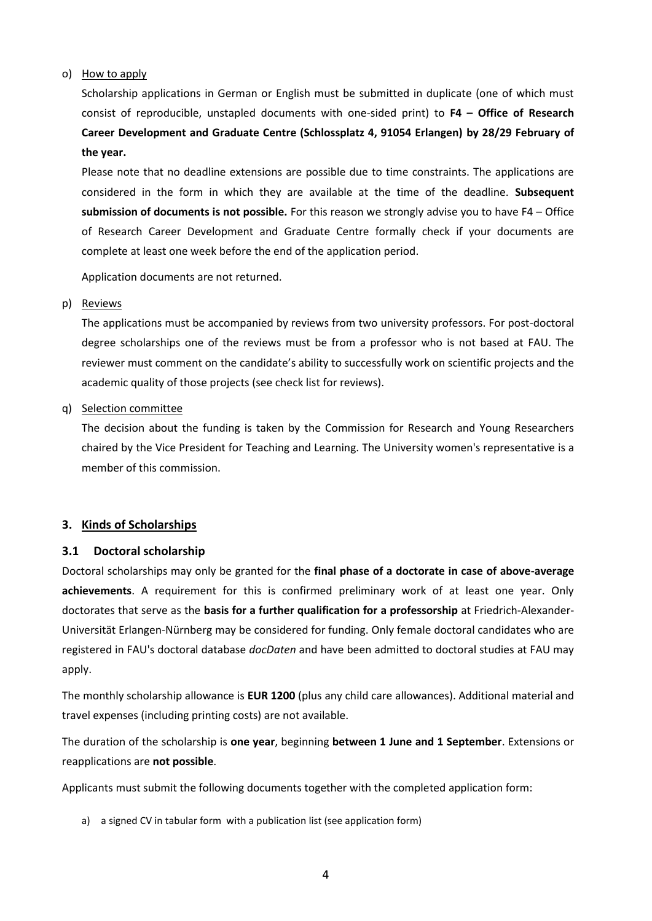#### o) How to apply

Scholarship applications in German or English must be submitted in duplicate (one of which must consist of reproducible, unstapled documents with one-sided print) to **F4 – Office of Research Career Development and Graduate Centre (Schlossplatz 4, 91054 Erlangen) by 28/29 February of the year.**

Please note that no deadline extensions are possible due to time constraints. The applications are considered in the form in which they are available at the time of the deadline. **Subsequent submission of documents is not possible.** For this reason we strongly advise you to have F4 – Office of Research Career Development and Graduate Centre formally check if your documents are complete at least one week before the end of the application period.

Application documents are not returned.

#### p) Reviews

The applications must be accompanied by reviews from two university professors. For post-doctoral degree scholarships one of the reviews must be from a professor who is not based at FAU. The reviewer must comment on the candidate's ability to successfully work on scientific projects and the academic quality of those projects (see check list for reviews).

### q) Selection committee

The decision about the funding is taken by the Commission for Research and Young Researchers chaired by the Vice President for Teaching and Learning. The University women's representative is a member of this commission.

# **3. Kinds of Scholarships**

# **3.1 Doctoral scholarship**

Doctoral scholarships may only be granted for the **final phase of a doctorate in case of above-average achievements**. A requirement for this is confirmed preliminary work of at least one year. Only doctorates that serve as the **basis for a further qualification for a professorship** at Friedrich-Alexander-Universität Erlangen-Nürnberg may be considered for funding. Only female doctoral candidates who are registered in FAU's doctoral database *docDaten* and have been admitted to doctoral studies at FAU may apply.

The monthly scholarship allowance is **EUR 1200** (plus any child care allowances). Additional material and travel expenses (including printing costs) are not available.

The duration of the scholarship is **one year**, beginning **between 1 June and 1 September**. Extensions or reapplications are **not possible**.

Applicants must submit the following documents together with the completed application form:

a) a signed CV in tabular form with a publication list (see application form)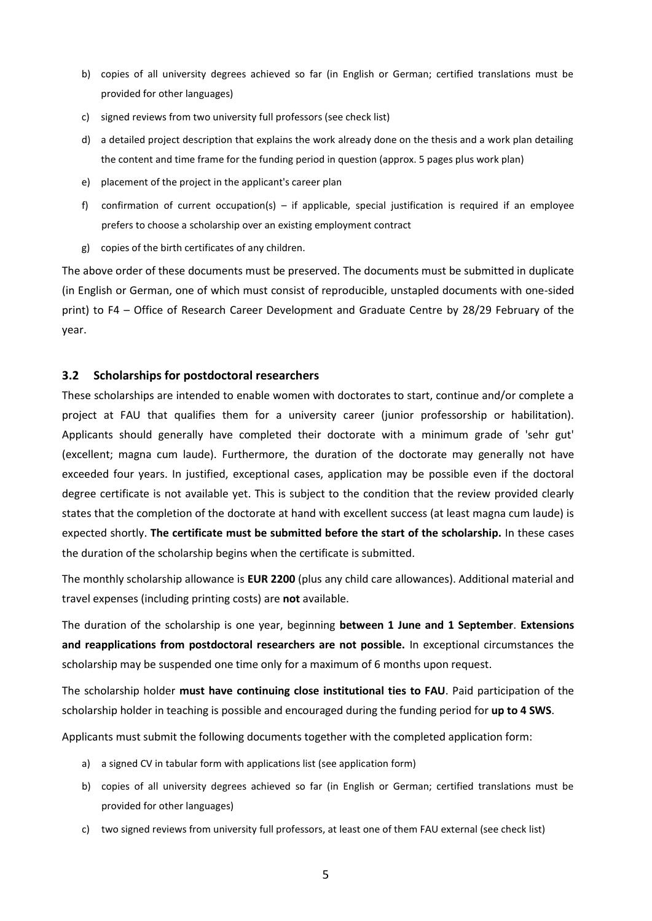- b) copies of all university degrees achieved so far (in English or German; certified translations must be provided for other languages)
- c) signed reviews from two university full professors (see check list)
- d) a detailed project description that explains the work already done on the thesis and a work plan detailing the content and time frame for the funding period in question (approx. 5 pages plus work plan)
- e) placement of the project in the applicant's career plan
- f) confirmation of current occupation(s) if applicable, special justification is required if an employee prefers to choose a scholarship over an existing employment contract
- g) copies of the birth certificates of any children.

### **3.2 Scholarships for postdoctoral researchers**

These scholarships are intended to enable women with doctorates to start, continue and/or complete a project at FAU that qualifies them for a university career (junior professorship or habilitation). Applicants should generally have completed their doctorate with a minimum grade of 'sehr gut' (excellent; magna cum laude). Furthermore, the duration of the doctorate may generally not have exceeded four years. In justified, exceptional cases, application may be possible even if the doctoral degree certificate is not available yet. This is subject to the condition that the review provided clearly states that the completion of the doctorate at hand with excellent success (at least magna cum laude) is expected shortly. **The certificate must be submitted before the start of the scholarship.** In these cases the duration of the scholarship begins when the certificate is submitted.

The monthly scholarship allowance is **EUR 2200** (plus any child care allowances). Additional material and travel expenses (including printing costs) are **not** available.

The duration of the scholarship is one year, beginning **between 1 June and 1 September**. **Extensions and reapplications from postdoctoral researchers are not possible.** In exceptional circumstances the scholarship may be suspended one time only for a maximum of 6 months upon request.

The scholarship holder **must have continuing close institutional ties to FAU**. Paid participation of the scholarship holder in teaching is possible and encouraged during the funding period for **up to 4 SWS**.

Applicants must submit the following documents together with the completed application form:

- a) a signed CV in tabular form with applications list (see application form)
- b) copies of all university degrees achieved so far (in English or German; certified translations must be provided for other languages)
- c) two signed reviews from university full professors, at least one of them FAU external (see check list)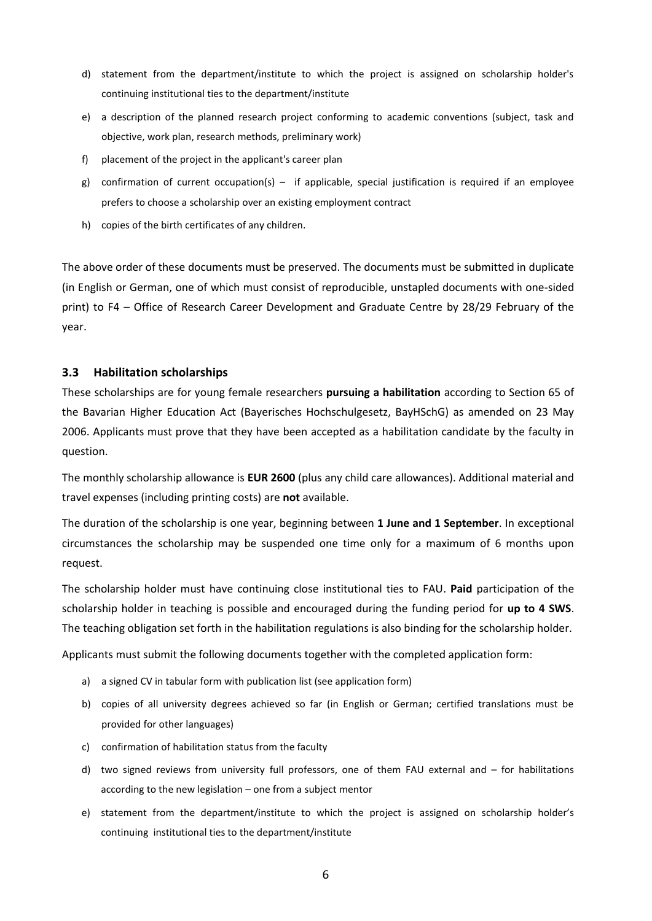- d) statement from the department/institute to which the project is assigned on scholarship holder's continuing institutional ties to the department/institute
- e) a description of the planned research project conforming to academic conventions (subject, task and objective, work plan, research methods, preliminary work)
- f) placement of the project in the applicant's career plan
- g) confirmation of current occupation(s) if applicable, special justification is required if an employee prefers to choose a scholarship over an existing employment contract
- h) copies of the birth certificates of any children.

### **3.3 Habilitation scholarships**

These scholarships are for young female researchers **pursuing a habilitation** according to Section 65 of the Bavarian Higher Education Act (Bayerisches Hochschulgesetz, BayHSchG) as amended on 23 May 2006. Applicants must prove that they have been accepted as a habilitation candidate by the faculty in question.

The monthly scholarship allowance is **EUR 2600** (plus any child care allowances). Additional material and travel expenses (including printing costs) are **not** available.

The duration of the scholarship is one year, beginning between **1 June and 1 September**. In exceptional circumstances the scholarship may be suspended one time only for a maximum of 6 months upon request.

The scholarship holder must have continuing close institutional ties to FAU. **Paid** participation of the scholarship holder in teaching is possible and encouraged during the funding period for **up to 4 SWS**. The teaching obligation set forth in the habilitation regulations is also binding for the scholarship holder.

Applicants must submit the following documents together with the completed application form:

- a) a signed CV in tabular form with publication list (see application form)
- b) copies of all university degrees achieved so far (in English or German; certified translations must be provided for other languages)
- c) confirmation of habilitation status from the faculty
- d) two signed reviews from university full professors, one of them FAU external and for habilitations according to the new legislation – one from a subject mentor
- e) statement from the department/institute to which the project is assigned on scholarship holder's continuing institutional ties to the department/institute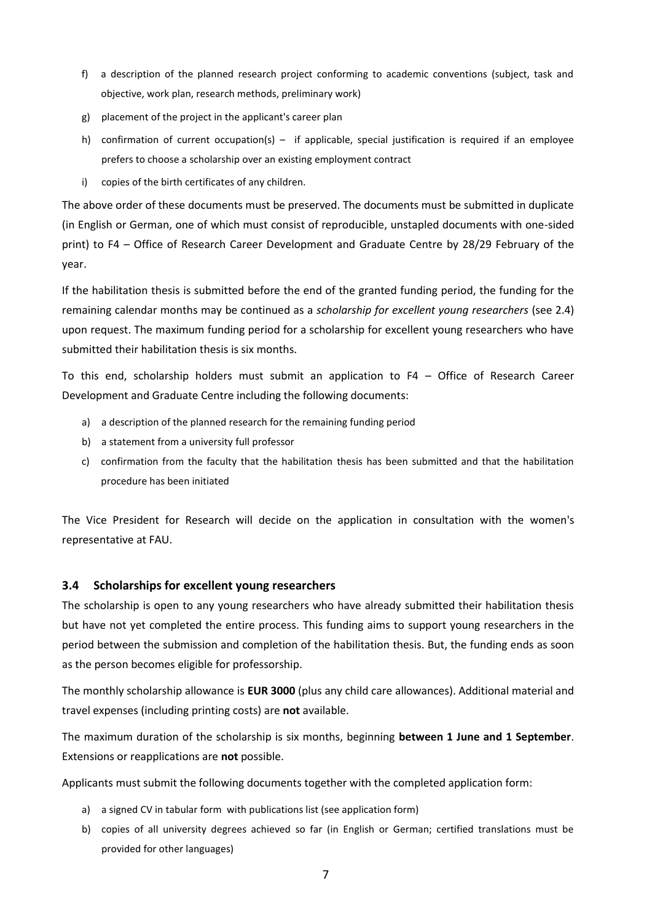- f) a description of the planned research project conforming to academic conventions (subject, task and objective, work plan, research methods, preliminary work)
- g) placement of the project in the applicant's career plan
- h) confirmation of current occupation(s) if applicable, special justification is required if an employee prefers to choose a scholarship over an existing employment contract
- i) copies of the birth certificates of any children.

If the habilitation thesis is submitted before the end of the granted funding period, the funding for the remaining calendar months may be continued as a *scholarship for excellent young researchers* (see 2.4) upon request. The maximum funding period for a scholarship for excellent young researchers who have submitted their habilitation thesis is six months.

To this end, scholarship holders must submit an application to F4 – Office of Research Career Development and Graduate Centre including the following documents:

- a) a description of the planned research for the remaining funding period
- b) a statement from a university full professor
- c) confirmation from the faculty that the habilitation thesis has been submitted and that the habilitation procedure has been initiated

The Vice President for Research will decide on the application in consultation with the women's representative at FAU.

# **3.4 Scholarships for excellent young researchers**

The scholarship is open to any young researchers who have already submitted their habilitation thesis but have not yet completed the entire process. This funding aims to support young researchers in the period between the submission and completion of the habilitation thesis. But, the funding ends as soon as the person becomes eligible for professorship.

The monthly scholarship allowance is **EUR 3000** (plus any child care allowances). Additional material and travel expenses (including printing costs) are **not** available.

The maximum duration of the scholarship is six months, beginning **between 1 June and 1 September**. Extensions or reapplications are **not** possible.

Applicants must submit the following documents together with the completed application form:

- a) a signed CV in tabular form with publications list (see application form)
- b) copies of all university degrees achieved so far (in English or German; certified translations must be provided for other languages)